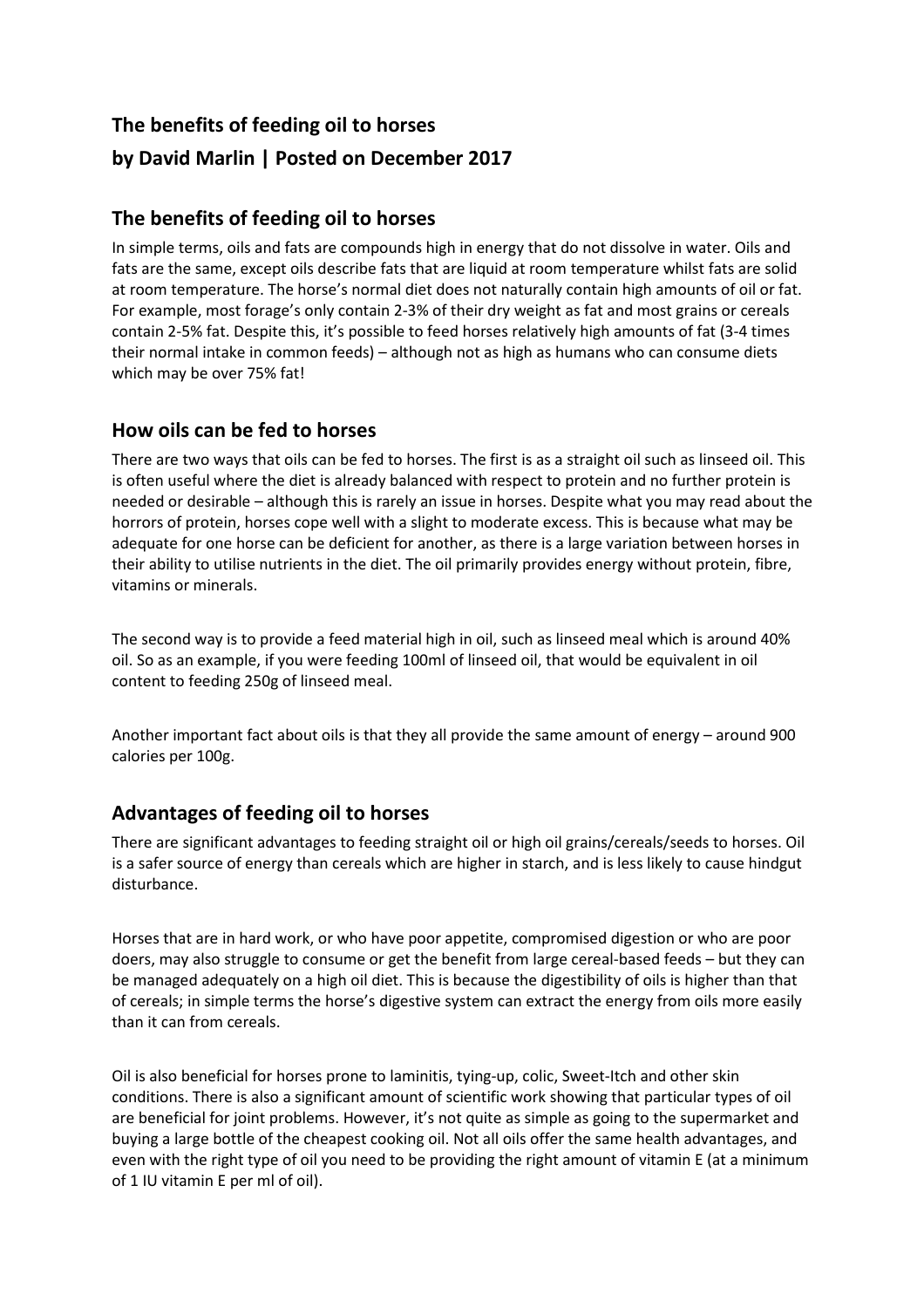# **The benefits of feeding oil to horses by David Marlin | Posted on December 2017**

## **The benefits of feeding oil to horses**

In simple terms, oils and fats are compounds high in energy that do not dissolve in water. Oils and fats are the same, except oils describe fats that are liquid at room temperature whilst fats are solid at room temperature. The horse's normal diet does not naturally contain high amounts of oil or fat. For example, most forage's only contain 2-3% of their dry weight as fat and most grains or cereals contain 2-5% fat. Despite this, it's possible to feed horses relatively high amounts of fat (3-4 times their normal intake in common feeds) – although not as high as humans who can consume diets which may be over 75% fat!

## **How oils can be fed to horses**

There are two ways that oils can be fed to horses. The first is as a straight oil such as linseed oil. This is often useful where the diet is already balanced with respect to protein and no further protein is needed or desirable – although this is rarely an issue in horses. Despite what you may read about the horrors of protein, horses cope well with a slight to moderate excess. This is because what may be adequate for one horse can be deficient for another, as there is a large variation between horses in their ability to utilise nutrients in the diet. The oil primarily provides energy without protein, fibre, vitamins or minerals.

The second way is to provide a feed material high in oil, such as linseed meal which is around 40% oil. So as an example, if you were feeding 100ml of linseed oil, that would be equivalent in oil content to feeding 250g of linseed meal.

Another important fact about oils is that they all provide the same amount of energy – around 900 calories per 100g.

# **Advantages of feeding oil to horses**

There are significant advantages to feeding straight oil or high oil grains/cereals/seeds to horses. Oil is a safer source of energy than cereals which are higher in starch, and is less likely to cause hindgut disturbance.

Horses that are in hard work, or who have poor appetite, compromised digestion or who are poor doers, may also struggle to consume or get the benefit from large cereal-based feeds – but they can be managed adequately on a high oil diet. This is because the digestibility of oils is higher than that of cereals; in simple terms the horse's digestive system can extract the energy from oils more easily than it can from cereals.

Oil is also beneficial for horses prone to laminitis, tying-up, colic, Sweet-Itch and other skin conditions. There is also a significant amount of scientific work showing that particular types of oil are beneficial for joint problems. However, it's not quite as simple as going to the supermarket and buying a large bottle of the cheapest cooking oil. Not all oils offer the same health advantages, and even with the right type of oil you need to be providing the right amount of vitamin E (at a minimum of 1 IU vitamin E per ml of oil).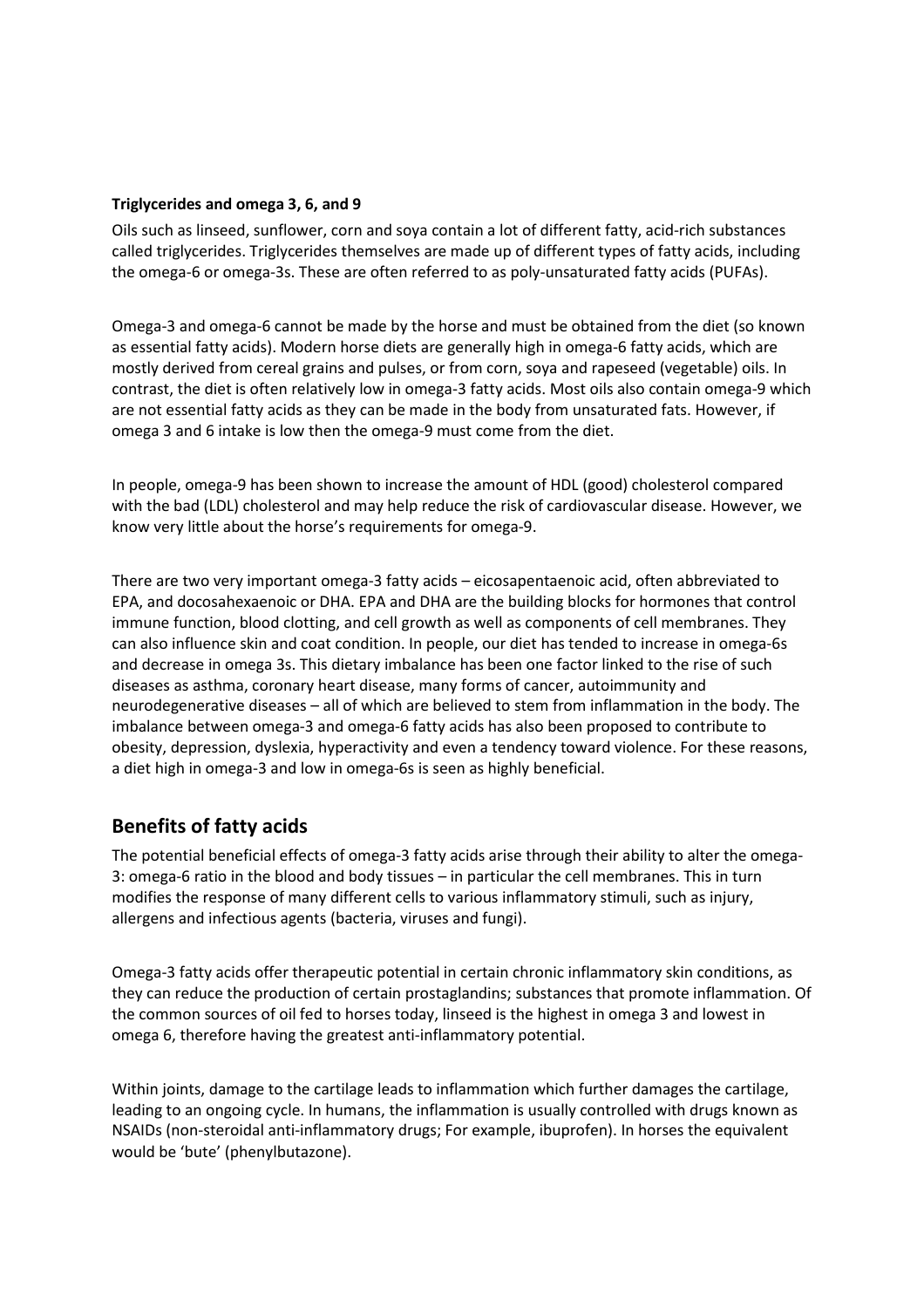#### **Triglycerides and omega 3, 6, and 9**

Oils such as linseed, sunflower, corn and soya contain a lot of different fatty, acid-rich substances called triglycerides. Triglycerides themselves are made up of different types of fatty acids, including the omega-6 or omega-3s. These are often referred to as poly-unsaturated fatty acids (PUFAs).

Omega-3 and omega-6 cannot be made by the horse and must be obtained from the diet (so known as essential fatty acids). Modern horse diets are generally high in omega-6 fatty acids, which are mostly derived from cereal grains and pulses, or from corn, soya and rapeseed (vegetable) oils. In contrast, the diet is often relatively low in omega-3 fatty acids. Most oils also contain omega-9 which are not essential fatty acids as they can be made in the body from unsaturated fats. However, if omega 3 and 6 intake is low then the omega-9 must come from the diet.

In people, omega-9 has been shown to increase the amount of HDL (good) cholesterol compared with the bad (LDL) cholesterol and may help reduce the risk of cardiovascular disease. However, we know very little about the horse's requirements for omega-9.

There are two very important omega-3 fatty acids – eicosapentaenoic acid, often abbreviated to EPA, and docosahexaenoic or DHA. EPA and DHA are the building blocks for hormones that control immune function, blood clotting, and cell growth as well as components of cell membranes. They can also influence skin and coat condition. In people, our diet has tended to increase in omega-6s and decrease in omega 3s. This dietary imbalance has been one factor linked to the rise of such diseases as asthma, coronary heart disease, many forms of cancer, autoimmunity and neurodegenerative diseases – all of which are believed to stem from inflammation in the body. The imbalance between omega-3 and omega-6 fatty acids has also been proposed to contribute to obesity, depression, dyslexia, hyperactivity and even a tendency toward violence. For these reasons, a diet high in omega-3 and low in omega-6s is seen as highly beneficial.

### **Benefits of fatty acids**

The potential beneficial effects of omega-3 fatty acids arise through their ability to alter the omega-3: omega-6 ratio in the blood and body tissues – in particular the cell membranes. This in turn modifies the response of many different cells to various inflammatory stimuli, such as injury, allergens and infectious agents (bacteria, viruses and fungi).

Omega-3 fatty acids offer therapeutic potential in certain chronic inflammatory skin conditions, as they can reduce the production of certain prostaglandins; substances that promote inflammation. Of the common sources of oil fed to horses today, linseed is the highest in omega 3 and lowest in omega 6, therefore having the greatest anti-inflammatory potential.

Within joints, damage to the cartilage leads to inflammation which further damages the cartilage, leading to an ongoing cycle. In humans, the inflammation is usually controlled with drugs known as NSAIDs (non-steroidal anti-inflammatory drugs; For example, ibuprofen). In horses the equivalent would be 'bute' (phenylbutazone).